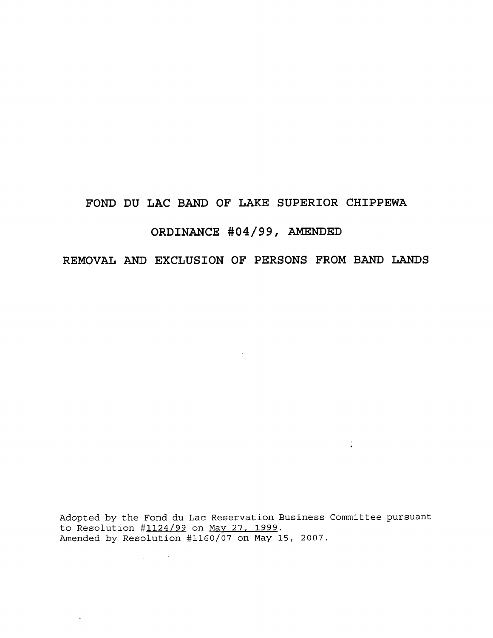## **FOND DU LAC BAND OF LAKE SUPERIOR CHIPPEWA**

# **ORDINANCE #04/99, AMENDED**

# **REMOVAL AND EXCLUSION OF PERSONS FROM BAND LANDS**

 $\sim$ 

Adopted by the Fond du Lac Reservation Business Committee pursuant to Resolution #1124/99 on May 27, 1999. Amended by Resolution #1160/07 on May 15, 2007.

 $\sim$ 

 $\frac{1}{4}$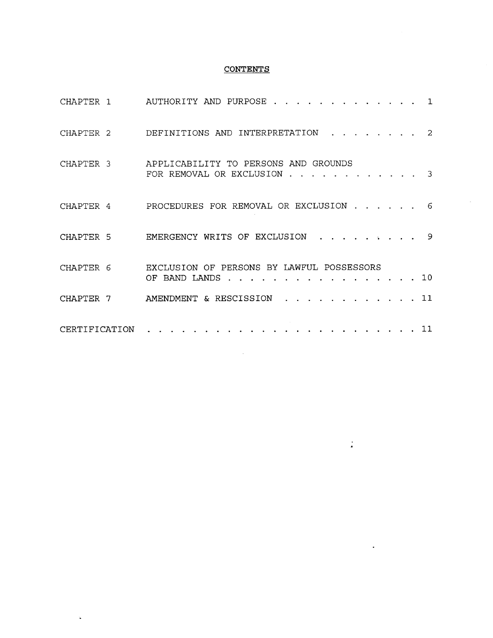## **CONTENTS**

| CHAPTER 1     | AUTHORITY AND PURPOSE<br>$\mathbf{1}$                                 |
|---------------|-----------------------------------------------------------------------|
| CHAPTER 2     | DEFINITIONS AND INTERPRETATION<br>$\overline{2}$                      |
| CHAPTER 3     | APPLICABILITY TO PERSONS AND GROUNDS<br>FOR REMOVAL OR EXCLUSION<br>3 |
| CHAPTER 4     | PROCEDURES FOR REMOVAL OR EXCLUSION<br>- 6                            |
| CHAPTER 5     | EMERGENCY WRITS OF EXCLUSION<br>9                                     |
| CHAPTER 6     | EXCLUSION OF PERSONS BY LAWFUL POSSESSORS<br>.10<br>OF BAND LANDS     |
| CHAPTER 7     | AMENDMENT & RESCISSION<br>$\therefore$ 11                             |
| CERTIFICATION | 11                                                                    |

 $\sim$ 

 $\frac{1}{\sigma}$ 

 $\ddot{\phantom{0}}$ 

 $\sim$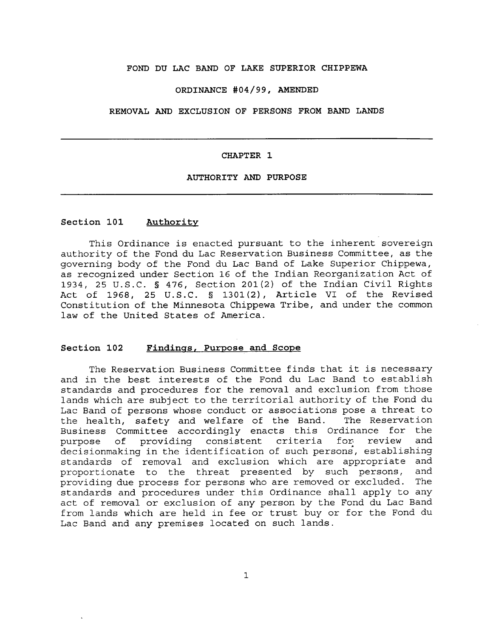#### **FOND DU LAC BAND OF LAKE SUPERIOR CHIPPEWA**

#### **ORDINANCE #04/99, AMENDED**

**REMOVAL AND EXCLUSION OF PERSONS FROM BAND LANDS**

#### **CHAPTER 1**

#### **AUTHORITY AND PURPOSE**

#### **Section 101 Authority**

This Ordinance is enacted pursuant to the inherent sovereign authority of the Fond du Lac Reservation Business Committee, as the governing body of the Fond du Lac Band of Lake Superior Chippewa, as recognized under Section 16 of the Indian Reorganization Act of 1934, 25 U.S.C. § 476, Section 201(2) of the Indian Civil Rights Act of 1968, 25 U.S.C. § 1301(2), Article VI of the Revised Constitution of the Minnesota Chippewa Tribe, and under the common law of the United States of America.

#### **Section 102 Findings, Purpose and Scope**

The Reservation Business Committee finds that it is necessary and in the best interests of the Fond du Lac Band to establish standards and procedures for the removal and exclusion from those lands which are subject to the territorial authority of the Fond du Lac Band of persons whose conduct or associations pose a threat to the health, safety and welfare of the Band. The Reservation Business Committee accordingly enacts this Ordinance for the<br>purpose of providing consistent criteria for review and purpose of providing consistent criteria for review decisionmaking in the identification of such persons, establishing standards of removal and exclusion which are appropriate and<br>proportionate to the threat presented by such persons, and proportionate to the threat presented by such persons, providing due process for persons who are removed or excluded. The standards and procedures under this Ordinance shall apply to any act of removal or exclusion of any person by the Fond du Lac Band from lands which are held in fee or trust buy or for the Fond du Lac Band and any premises located on such lands.

1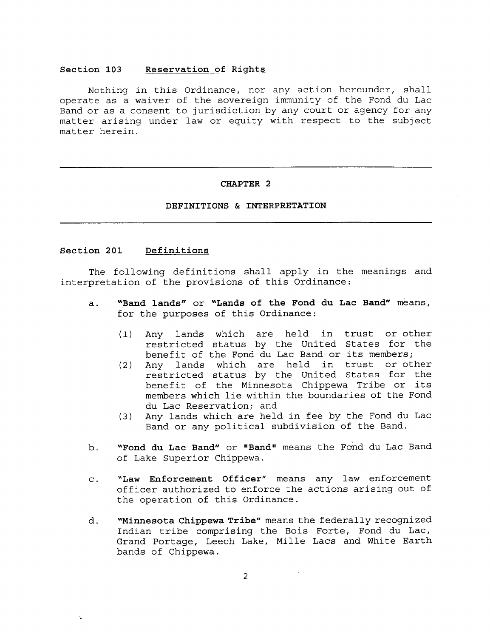#### **Section 103 Reservation of Rights**

Nothing in this Ordinance, nor any action hereunder, shall operate as a waiver of the sovereign immunity of the Fond du Lac Band or as a consent to jurisdiction by any court or agency for any matter arising under law or equity with respect to the subject matter herein.

#### **CHAPTER 2**

#### **DEFINITIONS** & **INTERPRETATION**

#### **Section 201 Definitions**

The following definitions shall apply in the meanings and interpretation of the provisions of this Ordinance:

- a. **"Band lands"** or **"Lands of the Fond du Lac Band"** means, for the purposes of this Ordinance:
	- (1) Any lands which are held in trust or other restricted status by the United States for the benefit of the Fond du Lac Band or its members;
	- (2) Any lands which are held in trust or other restricted status by the United States for the benefit of the Minnesota Chippewa Tribe or its members which lie within the boundaries of the Fond du Lac Reservation; and
	- (3) Any lands which are held in fee by the Fond du Lac Band or any political subdivision of the Band.
- b. **"Fond du Lac Band"** or **"Sand <sup>i</sup> '** means the Fond du Lac Band of Lake Superior Chippewa.
- **c. "Law Enforcement Officer"** means any law enforcement officer authorized to enforce the actions arising out of the operation of this Ordinance.
- d. **"Minnesota Chippewa Tribe"** means the federally recognized Indian tribe comprising the Bois Forte, Fond du Lac, Grand Portage, Leech Lake, Mille Lacs and White Earth bands of Chippewa.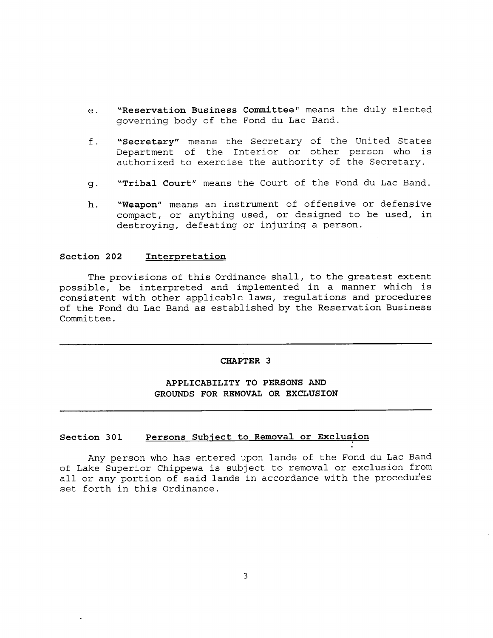- **e. "Reservation Business Committee"** means the duly elected governing body of the Fond du Lac Band.
- **f. "Secretary"** means the Secretary of the United States Department of the Interior or other person who is authorized to exercise the authority of the Secretary.
- **g. "Tribal Court"** means the Court of the Fond du Lac Band.
- **h. "Weapon"** means an instrument of offensive or defensive compact, or anything used, or designed to be used, in destroying, defeating or injuring a person.

#### **Section 202 Interpretation**

The provisions of this Ordinance shall, to the greatest extent possible, be interpreted and implemented in a manner which is consistent with other applicable laws, regulations and procedures of the Fond du Lac Band as established by the Reservation Business Committee.

#### **CHAPTER 3**

#### **APPLICABILITY TO PERSONS AND GROUNDS FOR REMOVAL OR EXCLUSION**

#### **Section 301 Persons Subject to Removal or Exclusion**

Any person who has entered upon lands of the Fond du Lac Band of Lake Superior Chippewa is subject to removal or exclusion from all or any portion of said lands in accordance with the procedures set forth in this Ordinance.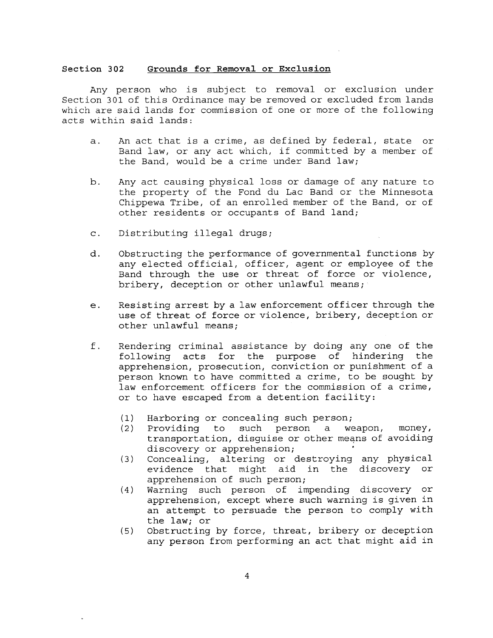#### **Section 302 Grounds for Removal or Exclusion**

Any person who is subject to removal or exclusion under Section 301 of this Ordinance may be removed or excluded from lands which are said lands for commission of one or more of the following acts within said lands:

- a. An act that is a crime, as defined by federal, state or Band law, or any act which, if committed by a member of the Band, would be a crime under Band law;
- b. Any act causing physical loss or damage of any nature to the property of the Fond du Lac Band or the Minnesota Chippewa Tribe, of an enrolled member of the Band, or of other residents or occupants of Band land;
- c. Distributing illegal drugs;
- d. Obstructing the performance of governmental functions by any elected official, officer, agent or employee of the Band through the use or threat of force or violence, bribery, deception or other unlawful means;
- e. Resisting arrest by **a** law enforcement officer through the use of threat of force or violence, bribery, deception or other unlawful means;
- f. Rendering criminal assistance by doing any one of the following acts for the purpose of hindering the apprehension, prosecution, conviction or punishment of **a** person known to have committed **a** crime, to be sought by law enforcement officers for the commission of a crime, or to have escaped from a detention facility:
	- (1) Harboring or concealing such person;
	- (2) Providing to such person a weapon, money, transportation, disguise **or** other means of avoiding discovery or apprehension;
	- (3) Concealing, altering or destroying any physical evidence that might aid in the discovery or apprehension of such person;
	- (4) Warning such person of impending discovery **or** apprehension, except where such warning **is** given **in** an attempt to persuade the person to comply with the law; or
	- (5) Obstructing by force, threat, bribery or deception any person from performing an act that might aid in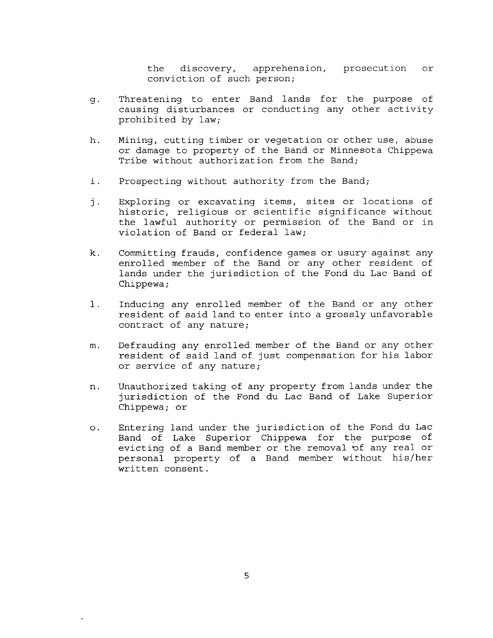the discovery, apprehension, prosecution or conviction of such person;

- Threatening to enter Band lands for the purpose of q. causing disturbances or conducting any other activity prohibited by law;
- h. Mining, cutting timber or vegetation or other use, abuse or damage to property of the Band or Minnesota Chippewa Tribe without authorization from the Band;
- i. Prospecting without authority from the Band;
- j. Exploring or excavating items, sites or locations of historic, religious or scientific significance without the lawful authority or permission of the Band or in violation of Band or federal law;
- k. Committing frauds, confidence games or usury against any enrolled member of the Band or any other resident of lands under the jurisdiction of the Fond du Lac Band of Chippewa;
- 1. Inducing any enrolled member of the Band or any other resident of said land to enter into a grossly unfavorable contract of any nature;
- m. Defrauding any enrolled member of the Band or any other resident of said land of just compensation for his labor or service of any nature;
- n. Unauthorized taking of any property from lands under the jurisdiction of the Fond du Lac Band of Lake Superior Chippewa; or
- o. Entering land under the jurisdiction of the Fond du Lac Band of Lake Superior Chippewa for the purpose of evicting of a Band member or the removal of any real or personal property of a Band member without his/her written consent.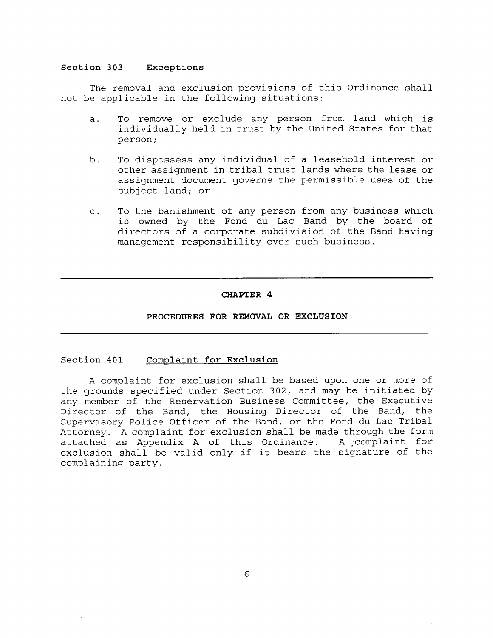#### **Section 303 Exceptions**

The removal and exclusion provisions of this Ordinance shall not be applicable in the following situations:

- a. To remove or exclude any person from land which is individually held in trust by the United States for that person;
- b. To dispossess any individual of a leasehold interest or other assignment in tribal trust lands where the lease or assignment document governs the permissible uses of the subject land; or
- c. To the banishment of any person from any business which is owned by the Fond du Lac Band by the board of directors of a corporate subdivision of the Band having management responsibility over such business.

#### **CHAPTER 4**

#### **PROCEDURES FOR REMOVAL OR EXCLUSION**

#### **Section 401 Complaint for Exclusion**

A complaint for exclusion shall be based upon one or more of the grounds specified under Section 302, and may be initiated by any member of the Reservation Business Committee, the Executive Director of the Band, the Housing Director of the Band, the Supervisory Police Officer of the Band, or the Fond du Lac Tribal Attorney. A complaint for exclusion shall be made through the form<br>attached as Appendix A of this Ordinance. A complaint for attached as Appendix A of this Ordinance. exclusion shall be valid only if it bears the signature of the complaining party.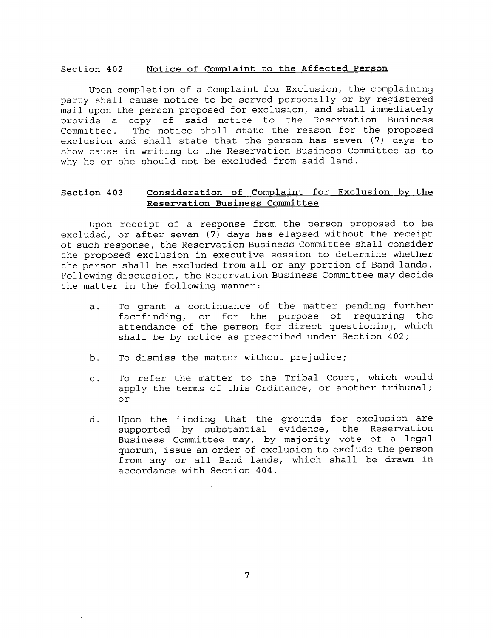#### **Section 402 Notice of Complaint to the Affected Person**

Upon completion of a Complaint for Exclusion, the complaining party shall cause notice to be served personally or by registered mail upon the person proposed for exclusion, and shall immediately provide a copy of said notice to the Reservation Business Committee. The notice shall state the reason for the proposed exclusion and shall state that the person has seven (7) days to show cause in writing to the Reservation Business Committee as to why he or she should not be excluded from said land.

#### **Section 403 Consideration of Complaint for Exclusion by the Reservation Business Committee**

Upon receipt of a response from the person proposed to be excluded, or after seven (7) days has elapsed without the receipt of such response, the Reservation Business Committee shall consider the proposed exclusion in executive session to determine whether the person shall be excluded from all or any portion of Band lands. Following discussion, the Reservation Business Committee may decide the matter in the following manner:

- a. To grant a continuance of the matter pending further factfinding, or for the purpose of requiring the attendance of the person for direct questioning, which shall be by notice as prescribed under Section 402;
- b. To dismiss the matter without prejudice;
- c. To refer the matter to the Tribal Court, which would apply the terms of this Ordinance, or another tribunal; or
- d. Upon the finding that the grounds for exclusion are supported by substantial evidence, the Reservation Business Committee may, by majority vote of a legal quorum, issue an order of exclusion to exclude the person from any or all Band lands, which shall be drawn in accordance with Section 404.

7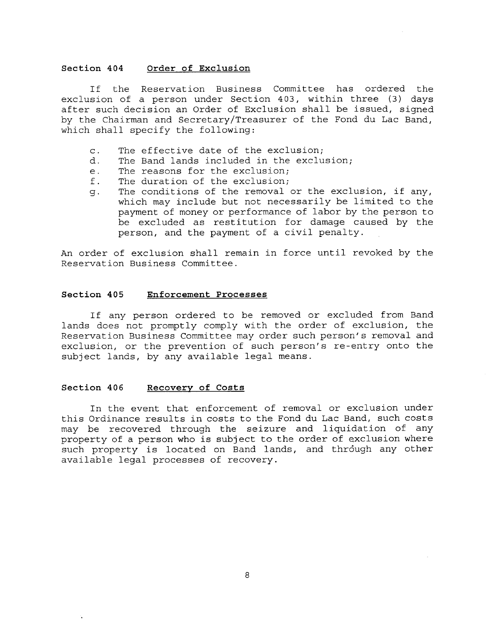#### **Section 404 Order of Exclusion**

If the Reservation Business Committee has ordered the exclusion of a person under Section 403, within three (3) days after such decision an Order of Exclusion shall be issued, signed by the Chairman and Secretary/Treasurer of the Fond du Lac Band, which shall specify the following:

- c. The effective date of the exclusion;
- d. The Band lands included in the exclusion;
- e. The reasons for the exclusion;
- f. The duration of the exclusion;
- g. The conditions of the removal or the exclusion, if any, which may include but not necessarily be limited to the payment of money or performance of labor by the person to be excluded as restitution for damage caused by the person, and the payment of a civil penalty.

An order of exclusion shall remain in force until revoked by the Reservation Business Committee.

#### **Section 405 Enforcement Processes**

If any person ordered to be removed or excluded from Band lands does not promptly comply with the order of exclusion, the Reservation Business Committee may order such person's removal and exclusion, or the prevention of such person's re-entry onto the subject lands, by any available legal means.

#### **Section 406 Recovery of Costs**

In the event that enforcement of removal or exclusion under this Ordinance results in costs to the Fond du Lac Band, such costs may be recovered through the seizure and liquidation of any property of a person who is subject to the order of exclusion where such property is located on Band lands, and through any other available legal processes of recovery.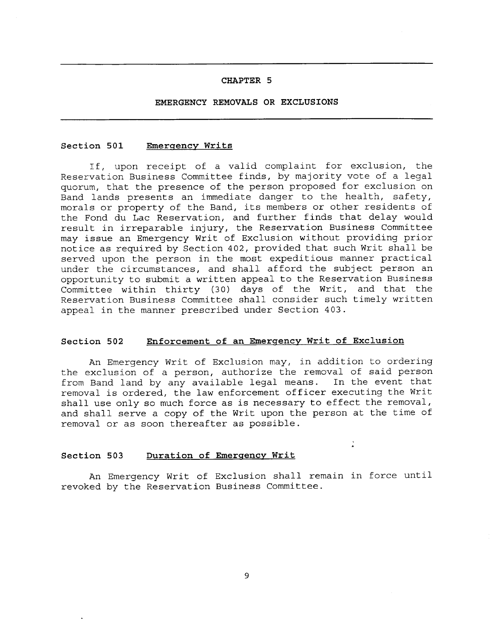#### **CHAPTER 5**

#### **EMERGENCY REMOVALS OR EXCLUSIONS**

#### **Section 501 Emergency Writs**

If, upon receipt of a valid complaint for exclusion, the Reservation Business Committee finds, by majority vote of a legal quorum, that the presence of the person proposed for exclusion on Band lands presents an immediate danger to the health, safety, morals or property of the Band, its members or other residents of the Fond du Lac Reservation, and further finds that delay would result in irreparable injury, the Reservation Business Committee may issue an Emergency Writ of Exclusion without providing prior notice as required by Section 402, provided that such Writ shall be served upon the person in the most expeditious manner practical under the circumstances, and shall afford the subject person an opportunity to submit a written appeal to the Reservation Business Committee within thirty (30) days of the Writ, and that the Reservation Business Committee shall consider such timely written appeal in the manner prescribed under Section 403.

#### **Section 502 Enforcement of an Emergency Writ of Exclusion**

An Emergency Writ of Exclusion may, in addition to ordering the exclusion of a person, authorize the removal of said person from Band land by any available legal means. In the event that removal is ordered, the law enforcement officer executing the Writ shall use only so much force as is necessary to effect the removal, and shall serve a copy of the Writ upon the person at the time of removal or as soon thereafter as possible.

#### **Section 503 Duration of Emergency Writ**

An Emergency Writ of Exclusion shall remain in force until revoked by the Reservation Business Committee.

 $\frac{1}{\sigma}$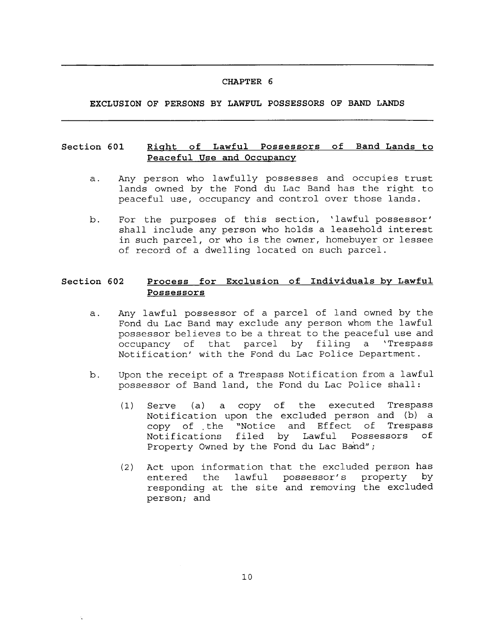#### **CHAPTER 6**

**EXCLUSION OF PERSONS BY LAWFUL POSSESSORS OF BAND LANDS**

#### **Section 601 Peaceful Use and Occupancy**

- **CHAPTER 6**<br> **Right of Lawful Possessors of Band Lands to<br>
<u>Right of Lawful Possessors</u> of Band Lands to<br>
Peaceful Use and Occupancy<br>
My person who lawfully possesses and occupies trust<br>
ands owned by the Fond du Lac Band** a. Any person who lawfully possesses and occupies trust lands owned by the Fond du Lac Band has the right to peaceful use, occupancy and control over those lands.
- b. For the purposes of this section, 'lawful possessor' shall include any person who holds a leasehold interest in such parcel, or who is the owner, homebuyer or lessee of record of a dwelling located on such parcel. **Peaceful Use and Occupancy**<br>
my person who lawfully possesses and occupies trust<br>
ands owned by the Fond du Lac Band has the right to<br>
eaceful use, occupancy and control over those lands.<br>
Yor the purposes of this section

#### **Section 602 Possessors**

- a. Any lawful possessor of a parcel of land owned by the Fond du Lac Band may exclude any person whom the lawful possessor believes to be a threat to the peaceful use and occupancy of that parcel by filing a 'Trespass Notification' with the Fond du Lac Police Department.
- b. Upon the receipt of a Trespass Notification from a lawful possessor of Band land, the Fond du Lac Police shall:
	- (1) Serve (a) a copy of the executed Trespass Notification upon the excluded person and (b) a copy of the "Notice and Effect of Trespass Notifications filed by Lawful Possessors of Property Owned by the Fond du Lac Band";
	- (2) Act upon information that the excluded person has<br>entered the lawful possessor's property by entered the lawful possessor's property responding at the site and removing the excluded person; and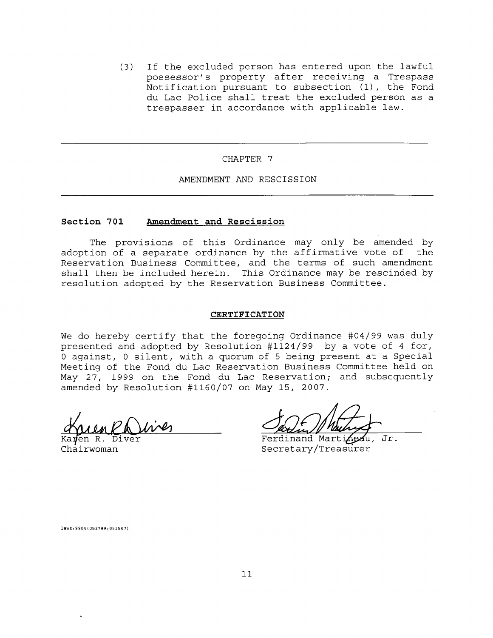(3) If the excluded person has entered upon the lawful possessor's property after receiving a Trespass Notification pursuant to subsection (1), the Fond du Lac Police shall treat the excluded person as a trespasser in accordance with applicable law.

#### CHAPTER 7

#### AMENDMENT AND RESCISSION

#### **Section 701 Amendment and Rescission**

The provisions of this Ordinance may only be amended by adoption of a separate ordinance by the affirmative vote of the Reservation Business Committee, and the terms of such amendment shall then be included herein. This Ordinance may be rescinded by resolution adopted by the Reservation Business Committee.

#### **CERTIFICATION**

We do hereby certify that the foregoing Ordinance #04/99 was duly presented and adopted by Resolution 41124/99 by a vote of 4 for, 0 against, 0 silent, with a quorum of 5 being present at a Special Meeting of the Fond du Lac Reservation Business Committee held on May 27, 1999 on the Fond du Lac Reservation; and subsequently amended by Resolution 41160/07 on May 15, 2007.

<sup>V</sup>en R. Diver

Ferdinand Martineau, Jr. Chairwoman Secretary/Treasurer

laws:9904(052799;051507)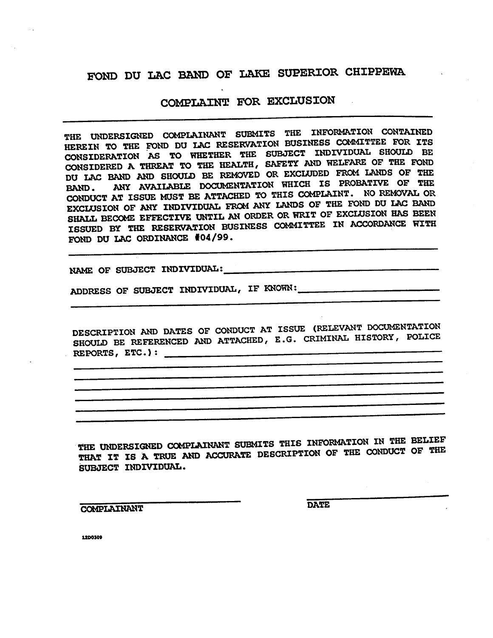# **FOND DU LAC BAND OF LAKE SUPERIOR CHIPPEWA.**

# **COMPLAINT FOR EXCLUSION**

**THE UNDERSIGNED COMPLAINANT SUBMITS THE INFORMATION CONTAINED HEREIN TO THE FOND DU LAC RESERVATION BUSINESS COMMITTEE FOR ITS CONSIDERATION AS TO WHETHER THE SUBJECT INDIVIDUAL SHOULD BE CONSIDERED A THREAT TO THE HEALTH, SAFETY AND WELFARE OF THE FOND DU LAC BAND AND SHOULD BE REMOVED OR EXCLUDED FROM LANDS OF THE BAND. ANY AVAILABLE DOCUMENTATION WHICH IS PROBATIVE OF THE CONDUCT AT ISSUE MUST BE ATTACHED TO THIS COMPLAINT. NO REMOVAL OR EXCLUSION OF ANY INDIVIDUAL FROM ANY LANDS OF THE FOND DU LAC BAND SHALL BECOME EFFECTIVE UNTIL AN ORDER OR WRIT OF EXCLUSION HAS BEEN ISSUED BY THE RESERVATION BUSINESS COMMITTEE IN ACCORDANCE WITH FOND DU LAC ORDINANCE #04/99.**

**NAME OF SUBJECT INDIVIDUAL:**

**ADDRESS OF SUBJECT INDIVIDUAL, IF KNOWN:**

**DESCRIPTION AND DATES OF CONDUCT AT ISSUE (RELEVANT DOCUMENTATION SHOULD BE REFERENCED AND ATTACHED, E.G. CRIMINAL HISTORY, POLICE REPORTS, ETC.):**

**THE UNDERSIGNED COMPLAINANT SUBMITS THIS INFORMATION IN THE BELIEF THAT IT IS A TRUE AND ACCURATE DESCRIPTION OF THE CONDUCT OF THE SUBJECT INDIVIDUAL.**

**COMPLAINANT DATE**

**12D0309**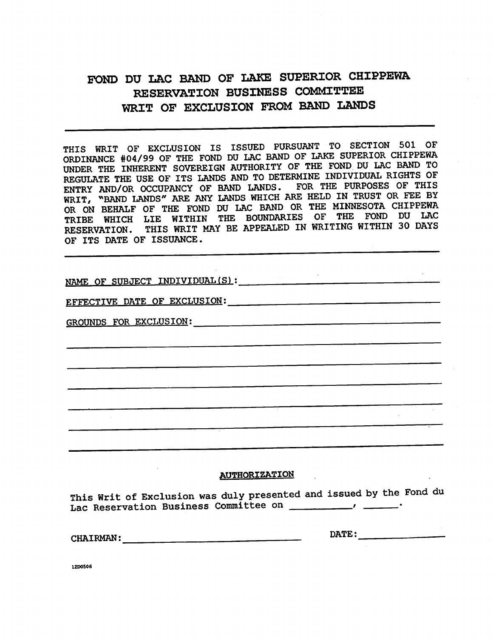# **FOND DU LAC BAND OF LAKE SUPERIOR CHIPPEWA RESERVATION BUSINESS COMMITTEE WRIT OF EXCLUSION FROM BAND LANDS**

THIS WRIT OF EXCLUSION IS ISSUED PURSUANT TO SECTION 501 OF ORDINANCE #04/99 OF THE FOND DU LAC BAND OF LAKE SUPERIOR CHIPPEWA UNDER THE INHERENT SOVEREIGN AUTHORITY OF THE FOND DU LAC BAND TO REGULATE THE USE OF ITS LANDS AND TO DETERMINE INDIVIDUAL RIGHTS OF ENTRY AND/OR OCCUPANCY OF BAND LANDS. FOR THE PURPOSES OF THIS WRIT, "BAND LANDS" ARE ANY LANDS WHICH ARE HELD IN TRUST OR FEE BY OR ON BEHALF OF THE FOND DU LAC BAND OR THE MINNESOTA CHIPPEWA TRIBE WHICH LIE WITHIN THE BOUNDARIES OF THE FOND DU LAC RESERVATION. THIS WRIT MAY BE APPEALED IN WRITING WITHIN 30 DAYS OF ITS DATE OF ISSUANCE.

NAME OF SUBJECT INDIVIDUAL(S):

EFFECTIVE DATE OF EXCLUSION:

GROUNDS FOR EXCLUSION:

#### **AUTHORI ZAT ION .**

This Writ of Exclusion was duly presented and issued by the Fond du Lac Reservation Business Committee on

CHAIRMAN: DATE:

**12D0506**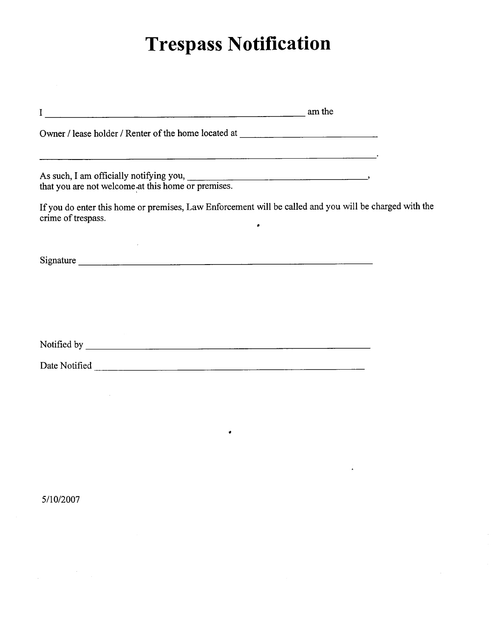# **Trespass Notification**

|                    | am the                                                                                                      |
|--------------------|-------------------------------------------------------------------------------------------------------------|
|                    | Owner / lease holder / Renter of the home located at ____________________________                           |
|                    |                                                                                                             |
| crime of trespass. | If you do enter this home or premises, Law Enforcement will be called and you will be charged with the<br>٠ |
|                    | Signature                                                                                                   |
|                    |                                                                                                             |
|                    |                                                                                                             |
|                    |                                                                                                             |

•

5/10/2007